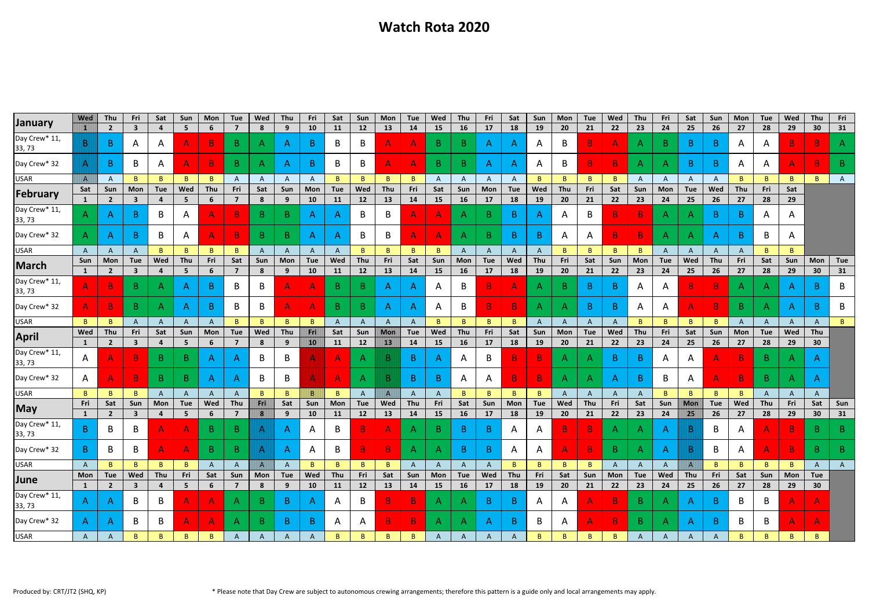## **Watch Rota 2020**

|                         | <b>Wed</b>          | Thu                            | Fri                                   | Sat                   | Sun                   | Mon                    | Tue          | Wed                   | Thu             | <b>Fri</b>       | Sat              | Sun            | <b>Mon</b>     | Tue          | Wed              | Thu              | Fri              | Sat              | Sun              | <b>Mon</b>             | Tue            | Wed              | Thu              | Fri          | Sat            | Sun          | Mon            | Tue          | Wed              | Thu             | Fri          |
|-------------------------|---------------------|--------------------------------|---------------------------------------|-----------------------|-----------------------|------------------------|--------------|-----------------------|-----------------|------------------|------------------|----------------|----------------|--------------|------------------|------------------|------------------|------------------|------------------|------------------------|----------------|------------------|------------------|--------------|----------------|--------------|----------------|--------------|------------------|-----------------|--------------|
| January                 | r                   | $\overline{2}$                 | $\overline{\mathbf{3}}$               |                       | 5                     | 6                      | 7            | 8                     | 9               | 10               | <b>11</b>        | 12             | 13             | 14           | 15               | 16               | 17               | 18               | 19               | 20                     | 21             | 22               | 23               | 24           | 25             | 26           | 27             | 28           | 29               | 30              | 31           |
| Day Crew* 11<br>33, 73  | B                   | B                              | A                                     | A                     | A                     | B                      | B.           | $\mathsf{A}$          | $\mathsf{A}$    | B.               | B                | B              | A              | $\mathsf{A}$ | B.               | B.               | $\mathsf{A}$     | $\mathsf{A}$     | Α                | B                      | $\mathbf{B}$   | $\mathsf{A}$     | Α                | B.           | $\mathsf{B}$   | B.           | $\mathsf{A}$   | A            | B                | B.              |              |
| Day Crew* 32            | $\mathsf{A}$        | B                              | B                                     | A                     | A                     | B.                     | B.           | A                     | $\mathsf{A}$    | B.               | B                | B              | $\overline{A}$ | $\mathsf{A}$ | B.               | B.               | $\mathsf{A}$     | $\mathsf{A}$     | A                | B                      | $\mathbf{B}$   | $\mathbf{B}$     | $\mathsf{A}$     | A            | $\mathsf{B}$   | $\mathsf{B}$ | A              | A            | $\mathsf{A}$     | $\overline{B}$  | B.           |
| <b>USAR</b>             | IA.                 | A                              | B.                                    | B.                    | $\mathbf{B}$          | B                      |              | $\mathsf{A}$          | $\mathsf{A}$    | $\mathsf{A}$     | <sub>B</sub>     | B.             | B.             | B            | A                | $\mathsf{A}$     | $\mathsf{A}$     | $\mathsf{A}$     | B                | $\mathsf{B}$           | $\mathbf{B}$   | B                | A                | A            | $\overline{A}$ | A            | B              | B.           | $\mathbf{B}$     | B.              |              |
| February                | Sat<br>$\mathbf{1}$ | Sun<br>$\overline{2}$          | <b>Mon</b><br>$\overline{\mathbf{3}}$ | Tue<br>4              | Wed<br>5              | Thu<br>6               | Fri<br>7     | Sat<br>8              | Sun<br>9        | Mon<br><b>10</b> | <b>Tue</b><br>11 | Wed<br>12      | Thu<br>13      | Fri<br>14    | Sat<br><b>15</b> | Sun<br><b>16</b> | Mon<br>17        | <b>Tue</b><br>18 | Wed<br>19        | Thu<br>20 <sub>2</sub> | Fri<br>21      | Sat<br>22        | Sun<br>23        | Mon<br>24    | Tue<br>25      | Wed<br>26    | Thu<br>27      | Fri<br>28    | Sat<br>29        |                 |              |
| Day Crew* 11,<br>33, 73 | $\mathsf{A}$        | A                              | B                                     | B                     | A                     | A                      | B            | B                     | $\mathsf{B}$    | $\mathsf{A}$     | A                | B              | B              | A            | А                | A                | B                | $\mathsf{B}$     |                  | A                      | B              | $\mathbf{B}$     | B                | A            | $\mathsf{A}$   | $\mathsf{B}$ | B              | A            | A                |                 |              |
| Day Crew* 32            | $\mathsf{A}$        | A                              | B                                     | B                     | A                     | A                      | B.           | B                     | $\mathsf{B}$    | $\mathsf{A}$     | A                | B              | B              | A            | А                | $\mathsf{A}$     | B.               | B.               | B                | A                      | $\mathsf{A}$   | $\mathbf{B}$     | B                | A            | $\mathsf{A}$   | $\mathsf{A}$ | B              | B            | A                |                 |              |
| <b>USAR</b>             | $\mathsf{A}$        | $\mathsf{A}$                   | A                                     | B.                    | $\mathbf{B}$          | B                      | B.           | A                     | $\mathsf{A}$    | $\mathsf{A}$     | A                | B              | B.             | B            | <sub>B</sub>     | $\mathsf{A}$     | $\mathsf{A}$     | $\mathsf{A}$     | $\mathsf{A}$     | B.                     | $\mathbf{B}$   | $\overline{B}$   | B.               | $\mathsf{A}$ | $\mathsf{A}$   | $\mathsf{A}$ | A              | B            | $\mathbf{B}$     |                 |              |
| March                   | Sun                 | Mon                            | <b>Tue</b>                            | Wed                   | Thu                   | Fri                    | Sat          | Sun                   | <b>Mon</b>      | <b>Tue</b>       | Wed              | Thu            | Fri            | Sat          | Sun              | Mon              | <b>Tue</b>       | Wed              | Thu              | Fri                    | Sat            | Sun              | <b>Mon</b>       | Tue          | Wed            | Thu          | Fri            | Sat          | Sun              | Mon             | Tue          |
|                         | $\mathbf{1}$        | $\overline{2}$                 | $\overline{\mathbf{3}}$               | 4                     | 5                     | 6                      | 7            | 8                     | 9               | 10               | 11               | 12             | 13             | 14           | <b>15</b>        | 16               | 17               | 18               | 19               | 20                     | 21             | 22               | 23               | 24           | 25             | 26           | 27             | 28           | 29               | 30              | 31           |
| Day Crew* 11,<br>33, 73 | $\overline{A}$      | B                              | B                                     | A                     | A                     | B.                     |              | B                     | A               | A                | B                | B.             | A              | $\mathsf{A}$ | A                | B                | B.               | $\mathsf{A}$     |                  | B.                     | $\mathsf{B}$   | B.               | A                | A            | B.             | B            | А              |              | A                | B               | B            |
| Day Crew* 32            | A                   | B.                             | $\mathbf{B}$                          | A                     | A                     | B                      | B            | B                     | $\mathsf{A}$    | A                | B.               | $\mathsf{B}$   | $\mathsf{A}$   | $\mathsf{A}$ | A                | B                | $\mathbf{B}$     | $\mathbf{B}$     |                  | A                      | $\overline{B}$ | $\vert$ B        | A                | A            | $\mathsf{A}$   | $\mathbf{B}$ | B              | A.           | A                | B.              | B            |
| <b>USAR</b>             | B.                  | B                              | A                                     | $\mathsf{A}$          | $\mathsf{A}$          | A                      | B            | B.                    | $\mathbf{B}$    | B                | A                | $\mathsf{A}$   | $\mathsf{A}$   | A            | B                | B.               | B.               | B.               | A                | $\mathsf{A}$           | A              | $\mathsf{A}$     | B                | $\mathsf{B}$ | B              | B.           | $\overline{A}$ | $\mathsf{A}$ | $\mathsf{A}$     | $\mathsf{A}$    |              |
| <b>April</b>            | Wed                 | Thu                            | Fri                                   | Sat                   | Sun                   | Mon                    | Tue          | Wed                   | Thu             | Fri              | Sat              | Sun            | <b>Mon</b>     | <b>Tue</b>   | Wed              | Thu              | Fri              | Sat              | Sun              | Mon                    | Tue            | Wed              | Thu              | Fri          | Sat            | Sun          | Mon            | Tue          | Wed              | Thu             |              |
|                         | <sup>1</sup>        | $\overline{2}$                 | $\overline{\mathbf{3}}$               | 4                     | 5                     | 6                      |              | 8                     | 9               | 10               | 11               | 12             | 13             | 14           | 15               | 16               | 17               | 18               | 19               | 20                     | 21             | 22               | 23               | 24           | 25             | 26           | 27             | 28           | 29               | 30 <sub>2</sub> |              |
| Day Crew* 11<br>33, 73  | A                   |                                | B                                     | $\mathsf{B}$          | B.                    | $\mathsf{A}$           | A            | B                     | B               | А                |                  | A              | B              | B.           |                  | A                | B                | B.               | B                | A                      | $\mathsf{A}$   | B.               | B                | $\mathsf{A}$ | A              | A            | B              | B            | A                | $\mathsf{A}$    |              |
| Day Crew* 32            | A                   | А                              | B                                     | B.                    | B.                    | $\mathsf{A}$           | Α            | B                     | B               | Α                |                  | A              | B              | B.           | R                | A                | A                | B.               | B                | A                      | A              | $\mathsf{A}$     | B                | B            | A              | A            | B              | B            | Α                |                 |              |
| <b>USAR</b>             | $\mathbf{B}$        | B                              | B.                                    | A                     | A                     | A                      | A            | $\mathbf{B}$          | $\mathsf{B}$    | B                | B                | $\mathsf{A}$   | $\mathbf{A}$   | $\mathsf{A}$ | A                | B                | B.               | B                | B                | A                      | $\mathsf{A}$   | $\mathsf{A}$     |                  | $\mathbf{B}$ | B              | $\mathbf{B}$ | B.             | A            | $\mathsf{A}$     | $\mathsf{A}$    |              |
| <b>May</b>              | Fri                 | Sat                            | Sun                                   | Mon                   | <b>Tue</b>            | Wed                    | Thu          | Eril                  | Sat             | Sun              | Mon              | Tue            | Wed            | Thu          | Fri              | Sat              | Sun              | Mon              | <b>Tue</b>       | Wed                    | Thu            | Fri              | Sat              | Sun          | <b>Mon</b>     | Tue          | Wed            | Thu          | Fri              | Sat             | Sun          |
|                         | 1                   | $\mathbf{2}$                   | $\overline{\mathbf{3}}$               | $\overline{4}$        | 5                     | 6                      |              | $ S \ $               | 9               | <b>10</b>        | <b>11</b>        | 12             | 13             | 14           | 15               | 16               | 17               | 18               | 19               | 20 <sub>2</sub>        | 21             | 22               | 23               | 24           | 25             | 26           | 27             | 28           | 29               | 30              | 31           |
| Day Crew* 11,<br>33, 73 | B.                  | B                              | B                                     |                       | А                     | B                      | B            |                       | Α               | А                | B                |                | Δ              | $\mathsf{A}$ | B                | B.               | $\mathsf{B}$     | A                |                  |                        | B              | A                |                  |              | B              | B            |                |              | B                | B.              |              |
| Day Crew* 32            | $\mathsf{B}$        | B                              | B                                     | A.                    | $\mathsf{A}$          | B.                     | B            | $\mathsf{A}$          | $\mathsf{A}$    | A                | B                | B <sub>1</sub> | $\mathbf{B}$   | $\mathsf{A}$ | $\mathsf{A}$     | B.               | B.               | A                | A                | $\mathsf{A}$           | $\mathbf{B}$   | B.               | A                | $\mathsf{A}$ | B              | B            | A              | A.           | $\mathbf{B}$     | B.              | B            |
| <b>USAR</b>             | $\mathsf{A}$        | B.                             | B                                     | B                     | $\mathsf{B}$          | $\mathsf{A}$           | A            | $\mathbf{A}$          | $\mathsf{A}$    | $\mathsf{B}$     | B                | B              | $\mathsf{B}$   | $\mathsf{A}$ | A                | $\mathsf{A}$     | $\mathsf{A}$     | $\mathsf{B}$     | B                | B                      | $\mathsf{B}$   | $\mathsf{A}$     | $\mathsf{A}$     | $\mathsf{A}$ | $\mathsf{A}$   | $\mathsf{B}$ | B              | B            | $\mathsf{B}$     | $\mathsf{A}$    | $\mathsf{A}$ |
| June                    | Mon<br>$\mathbf{1}$ | Tue<br>$\overline{\mathbf{2}}$ | Wed<br>$\mathbf{3}$                   | Thu<br>$\overline{4}$ | Fri<br>$5\phantom{1}$ | Sat<br>$6\phantom{1}6$ | Sun<br>7     | Mon<br>$8\phantom{1}$ | <b>Tue</b><br>9 | Wed<br><b>10</b> | Thu<br>11        | Fri<br>12      | Sat<br>13      | Sun<br>14    | Mon<br>15        | Tue<br><b>16</b> | <b>Wed</b><br>17 | Thu<br>18        | Fri<br><b>19</b> | Sat<br>20 <sub>2</sub> | Sun<br>21      | <b>Mon</b><br>22 | <b>Tue</b><br>23 | Wed<br>24    | Thu<br>25      | Fri<br>26    | Sat<br>27      | Sun<br>28    | <b>Mon</b><br>29 | Tue<br>30       |              |
| Day Crew* 11,<br>33, 73 | $\mathsf{A}$        | A                              | B                                     | B                     | $\mathsf{A}$          | $\mathsf{A}$           | $\mathsf{A}$ | B.                    | $\mathsf{B}$    | $\mathsf{A}$     | A                | B              | $\mathbf{B}$   | $\mathbf{B}$ | A                | $\mathsf{A}$     | $\mathsf{B}$     | $\mathsf{B}$     | A                | A.                     | $\mathsf{A}$   | $\mathbf{B}$     | $\mathsf{B}$     | A            | $\mathsf{A}$   | $\mathsf{B}$ | B              | B            | $\mathsf{A}$     | $\mathsf{A}$    |              |
| Day Crew* 32            | $\mathsf{A}$        | A                              | B                                     | B                     | A                     | $\mathsf{A}$           | A            | $\mathbf{B}$          | $\mathsf{B}$    | B                | A                | A              | $\mathbf{B}$   | $\mathbf{B}$ | A                | $\mathsf{A}$     | $\mathsf{A}$     | $\mathsf{B}$     | B                | A                      | $\mathsf{A}$   | $\mathbf{B}$     | B.               | A.           | $\mathsf{A}$   | $\mathsf{B}$ | B              | B            | $\mathsf{A}$     | $\mathsf{A}$    |              |
| <b>USAR</b>             | $\mathsf{A}$        | A                              | B.                                    | B                     | B                     | B                      | A            | A                     | $\mathsf{A}$    | A                | B                | $\mathsf{B}$   | B.             | B            | A                | $\mathsf{A}$     | $\mathsf{A}$     | A                | B                | $\mathbf{B}$           | B              | $\mathsf{B}$     | A                | $\mathsf{A}$ | $\mathsf{A}$   | $\mathsf{A}$ | B              | $\mathsf{B}$ | $\mathsf{B}$     | $\mathsf{B}$    |              |